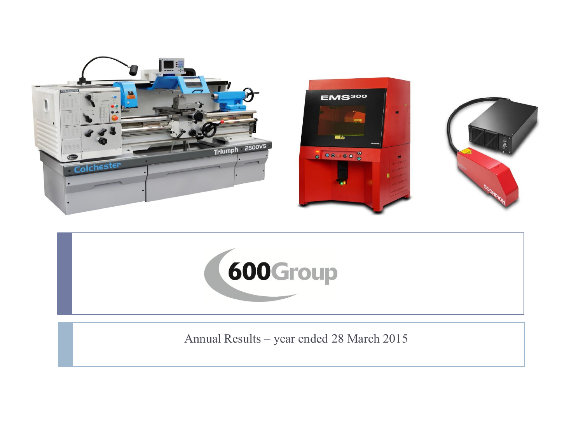



Annual Results – year ended 28 March 2015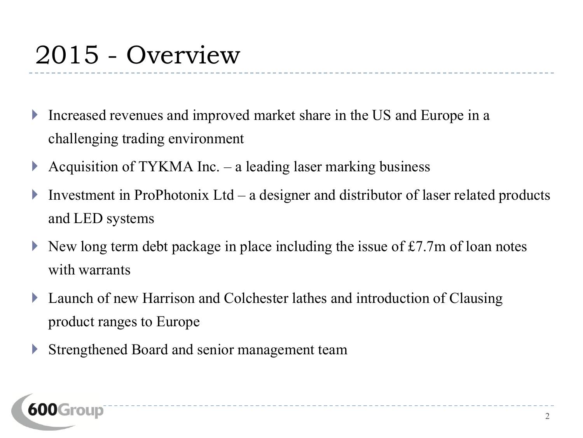# 2015 - Overview

- Increased revenues and improved market share in the US and Europe in a challenging trading environment
- Acquisition of TYKMA Inc.  $-$  a leading laser marking business
- Investment in ProPhotonix  $Ltd a$  designer and distributor of laser related products and LED systems

---------------

- New long term debt package in place including the issue of £7.7m of loan notes with warrants
- **Launch of new Harrison and Colchester lathes and introduction of Clausing** product ranges to Europe
- Strengthened Board and senior management team

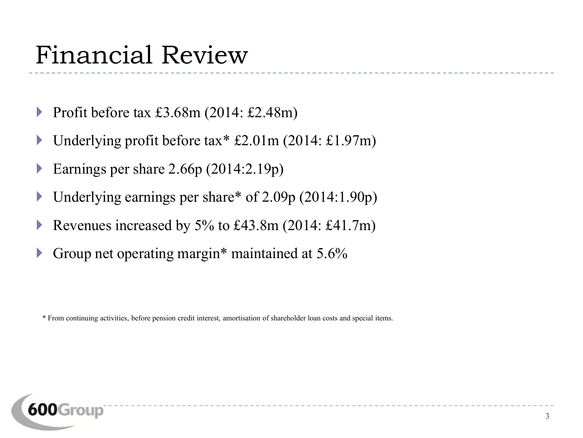#### Financial Review

- Profit before tax £3.68m (2014: £2.48m)
- ▶ Underlying profit before tax  $£2.01m$  (2014: £1.97m)
- Earnings per share 2.66p (2014:2.19p)
- Underlying earnings per share\* of 2.09p (2014:1.90p)
- Revenues increased by 5% to £43.8m  $(2014: \text{\pounds}41.7m)$
- Group net operating margin\* maintained at 5.6%

\* From continuing activities, before pension credit interest, amortisation of shareholder loan costs and special items.

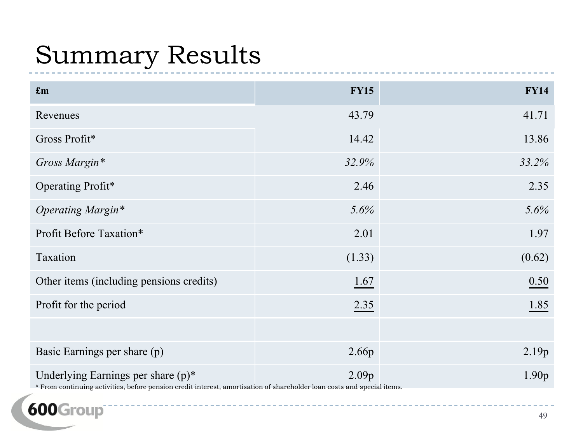# Summary Results

| $\mathbf{f}$ m                                                                                                                                                   | <b>FY15</b> | <b>FY14</b>       |
|------------------------------------------------------------------------------------------------------------------------------------------------------------------|-------------|-------------------|
| Revenues                                                                                                                                                         | 43.79       | 41.71             |
| Gross Profit*                                                                                                                                                    | 14.42       | 13.86             |
| Gross Margin*                                                                                                                                                    | 32.9%       | 33.2%             |
| Operating Profit*                                                                                                                                                | 2.46        | 2.35              |
| Operating Margin*                                                                                                                                                | 5.6%        | 5.6%              |
| Profit Before Taxation*                                                                                                                                          | 2.01        | 1.97              |
| Taxation                                                                                                                                                         | (1.33)      | (0.62)            |
| Other items (including pensions credits)                                                                                                                         | 1.67        | 0.50              |
| Profit for the period                                                                                                                                            | 2.35        | 1.85              |
|                                                                                                                                                                  |             |                   |
| Basic Earnings per share (p)                                                                                                                                     | 2.66p       | 2.19p             |
| Underlying Earnings per share $(p)^*$<br>* From continuing activities, before pension credit interest, amortisation of shareholder loan costs and special items. | 2.09p       | 1.90 <sub>p</sub> |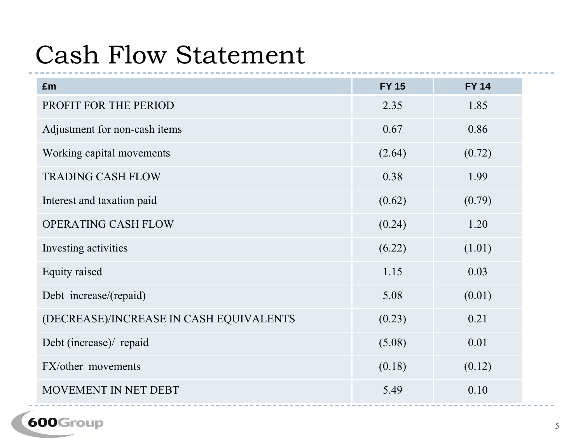#### Cash Flow Statement

| £m                                      | <b>FY 15</b> | <b>FY 14</b> |
|-----------------------------------------|--------------|--------------|
| PROFIT FOR THE PERIOD                   | 2.35         | 1.85         |
| Adjustment for non-cash items           | 0.67         | 0.86         |
| Working capital movements               | (2.64)       | (0.72)       |
| <b>TRADING CASH FLOW</b>                | 0.38         | 1.99         |
| Interest and taxation paid              | (0.62)       | (0.79)       |
| <b>OPERATING CASH FLOW</b>              | (0.24)       | 1.20         |
| Investing activities                    | (6.22)       | (1.01)       |
| Equity raised                           | 1.15         | 0.03         |
| Debt increase/(repaid)                  | 5.08         | (0.01)       |
| (DECREASE)/INCREASE IN CASH EQUIVALENTS | (0.23)       | 0.21         |
| Debt (increase)/ repaid                 | (5.08)       | 0.01         |
| FX/other movements                      | (0.18)       | (0.12)       |
| MOVEMENT IN NET DEBT                    | 5.49         | 0.10         |

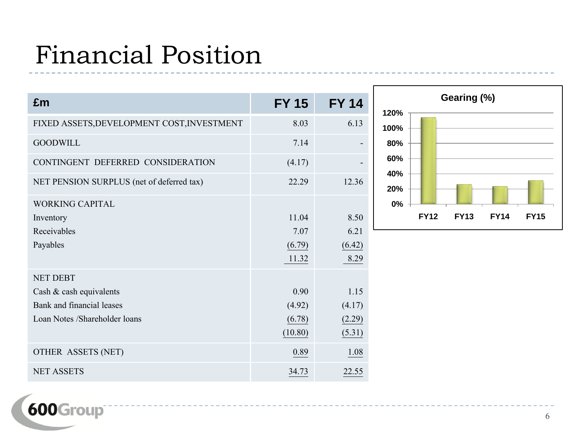# Financial Position

| £m                                                                                                       | <b>FY 15</b>                        | <b>FY 14</b>                       |
|----------------------------------------------------------------------------------------------------------|-------------------------------------|------------------------------------|
| FIXED ASSETS, DEVELOPMENT COST, INVESTMENT                                                               | 8.03                                | 6.13                               |
| <b>GOODWILL</b>                                                                                          | 7.14                                |                                    |
| CONTINGENT DEFERRED CONSIDERATION                                                                        | (4.17)                              |                                    |
| NET PENSION SURPLUS (net of deferred tax)                                                                | 22.29                               | 12.36                              |
| <b>WORKING CAPITAL</b><br>Inventory<br>Receivables<br>Payables                                           | 11.04<br>7.07<br>(6.79)<br>11.32    | 8.50<br>6.21<br>(6.42)<br>8.29     |
| <b>NET DEBT</b><br>Cash & cash equivalents<br>Bank and financial leases<br>Loan Notes /Shareholder loans | 0.90<br>(4.92)<br>(6.78)<br>(10.80) | 1.15<br>(4.17)<br>(2.29)<br>(5.31) |
| OTHER ASSETS (NET)                                                                                       | 0.89                                | 1.08                               |
| <b>NET ASSETS</b>                                                                                        | 34.73                               | 22.55                              |

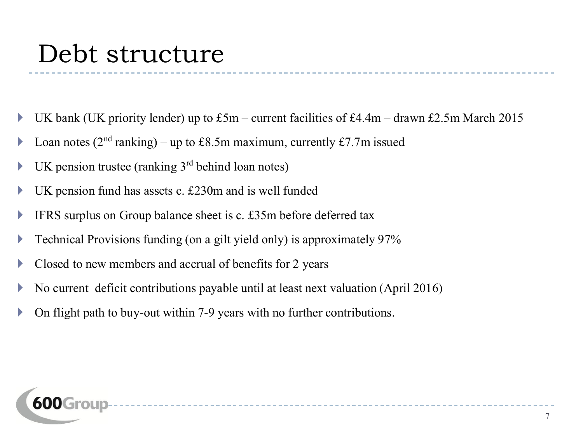#### Debt structure

UK bank (UK priority lender) up to  $£5m$  – current facilities of £4.4m – drawn £2.5m March 2015

\_\_\_\_\_\_\_\_\_\_\_\_\_\_\_\_\_\_\_\_\_\_\_\_\_\_\_\_\_\_\_\_\_\_

- **Loan notes** ( $2<sup>nd</sup>$  ranking) up to £8.5m maximum, currently £7.7m issued
- $\blacktriangleright$  UK pension trustee (ranking 3<sup>rd</sup> behind loan notes)
- $\triangleright$  UK pension fund has assets c. £230m and is well funded
- **IFRS** surplus on Group balance sheet is c.  $£35m$  before deferred tax
- **Technical Provisions funding (on a gilt yield only) is approximately 97%**
- $\triangleright$  Closed to new members and accrual of benefits for 2 years
- $\blacktriangleright$  No current deficit contributions payable until at least next valuation (April 2016)
- On flight path to buy-out within 7-9 years with no further contributions.

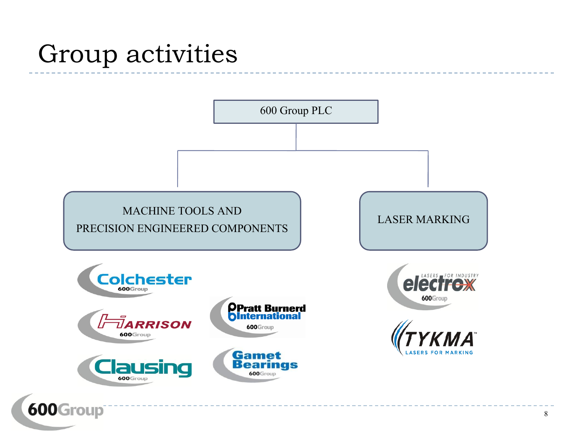#### Group activities

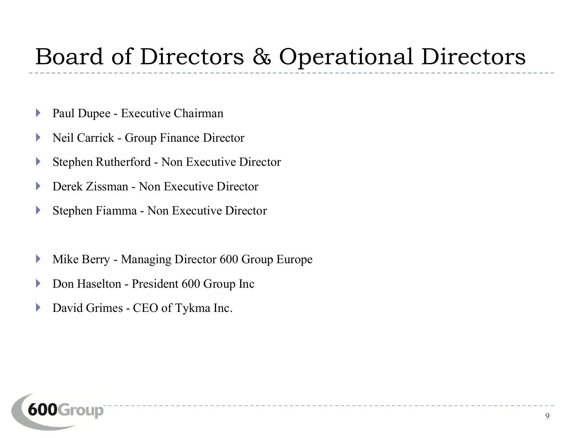#### Board of Directors & Operational Directors

- **Paul Dupee Executive Chairman**
- Neil Carrick Group Finance Director
- Stephen Rutherford Non Executive Director
- ▶ Derek Zissman Non Executive Director
- Stephen Fiamma Non Executive Director
- **Mike Berry Managing Director 600 Group Europe**
- **Don Haselton President 600 Group Inc**
- **David Grimes CEO of Tykma Inc.**

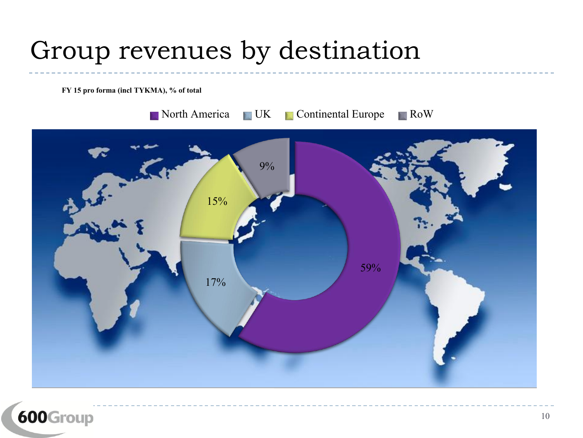# Group revenues by destination

**FY 15 pro forma (incl TYKMA), % of total**



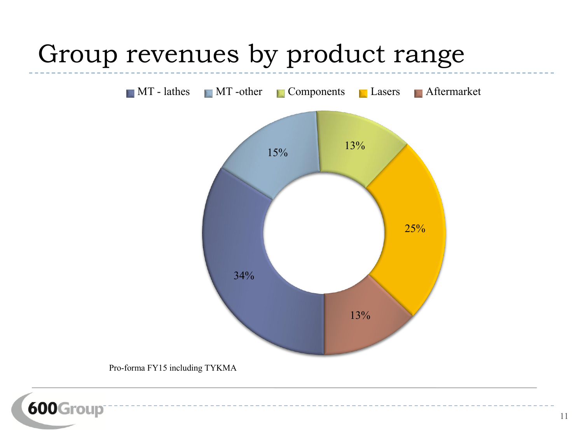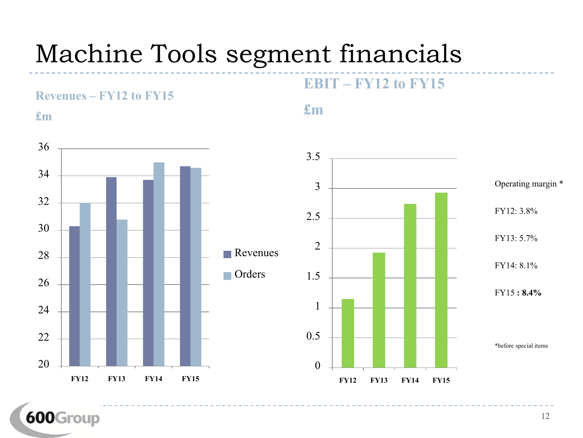# Machine Tools segment financials







**EBIT – FY12 to FY15**

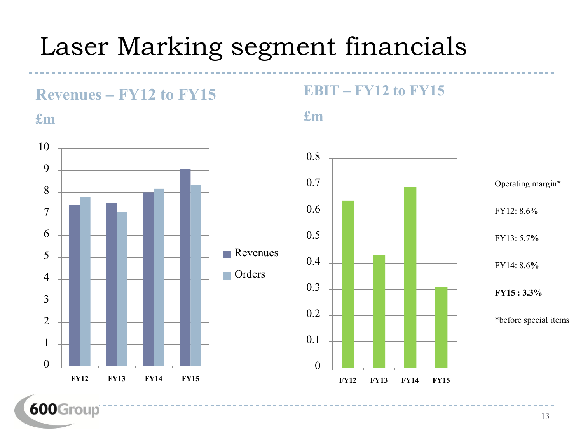### Laser Marking segment financials



#### **EBIT – FY12 to FY15**



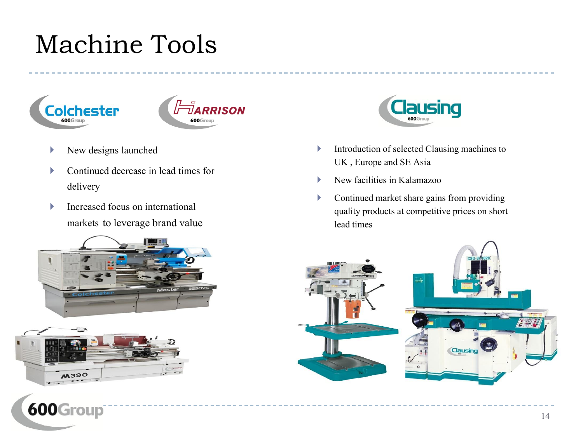# Machine Tools





- New designs launched
- ▶ Continued decrease in lead times for delivery
- Increased focus on international markets to leverage brand value







- Introduction of selected Clausing machines to UK , Europe and SE Asia
- $\blacktriangleright$  New facilities in Kalamazoo
- Continued market share gains from providing quality products at competitive prices on short lead times

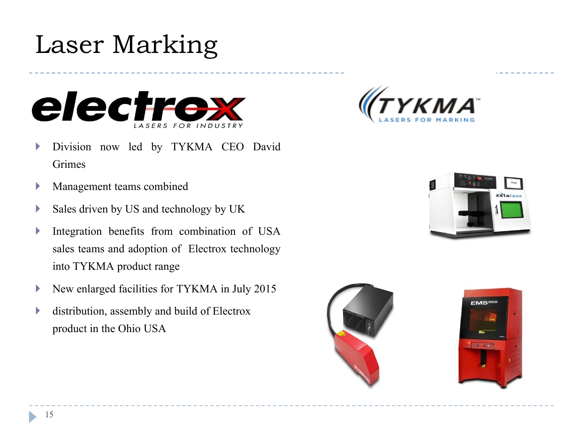# Laser Marking



- Division now led by TYKMA CEO David Grimes
- **Management teams combined**
- $\triangleright$  Sales driven by US and technology by UK
- Integration benefits from combination of USA sales teams and adoption of Electrox technology into TYKMA product range
- New enlarged facilities for TYKMA in July 2015
- distribution, assembly and build of Electrox product in the Ohio USA







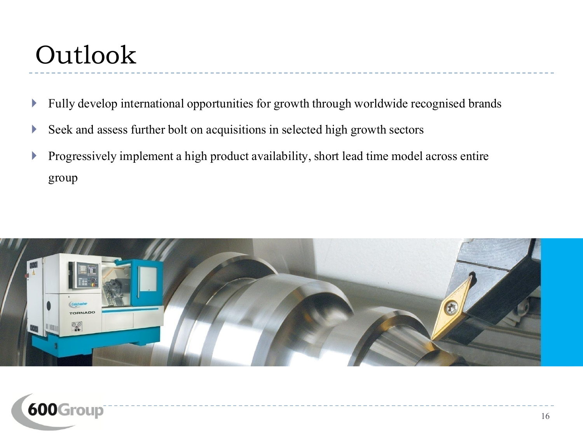# Outlook

- **Fully develop international opportunities for growth through worldwide recognised brands**
- Seek and assess further bolt on acquisitions in selected high growth sectors
- Progressively implement a high product availability, short lead time model across entire group